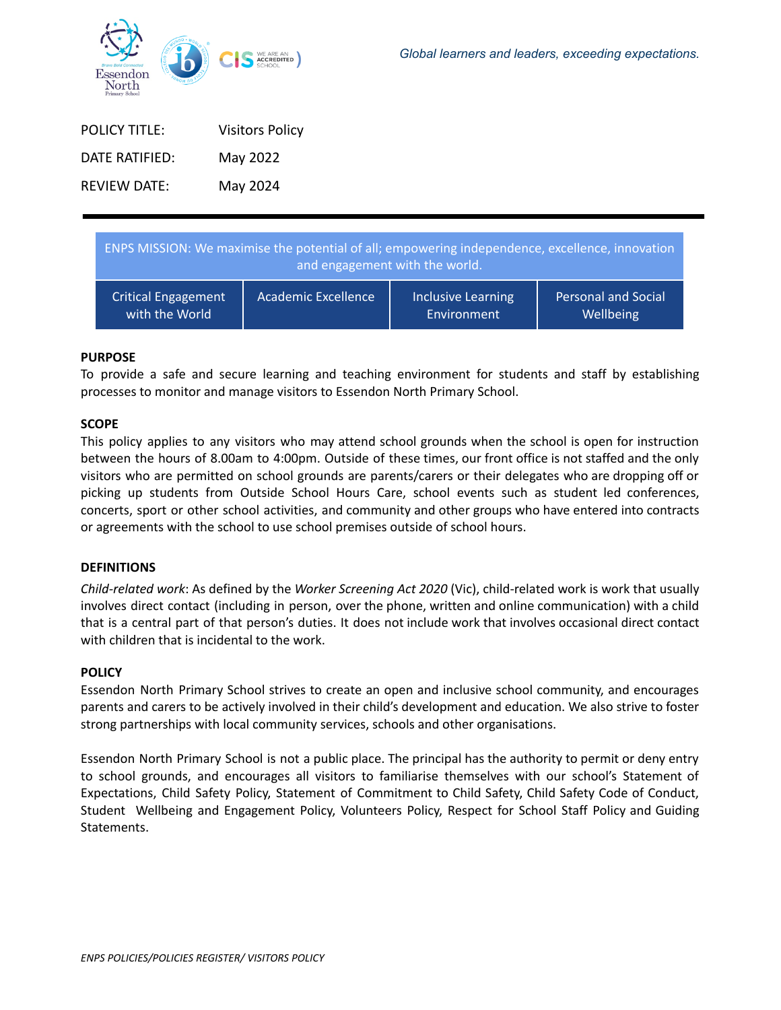| <b>POLICY TITLE:</b> | <b>Visitors Policy</b> |
|----------------------|------------------------|
| DATE RATIFIFD:       | May 2022               |
| <b>REVIEW DATE:</b>  | May 2024               |

| ENPS MISSION: We maximise the potential of all; empowering independence, excellence, innovation<br>and engagement with the world. |                     |                    |                            |
|-----------------------------------------------------------------------------------------------------------------------------------|---------------------|--------------------|----------------------------|
| <b>Critical Engagement</b>                                                                                                        | Academic Excellence | Inclusive Learning | <b>Personal and Social</b> |
| with the World                                                                                                                    |                     | Environment        | Wellbeing                  |

#### **PURPOSE**

To provide a safe and secure learning and teaching environment for students and staff by establishing processes to monitor and manage visitors to Essendon North Primary School.

#### **SCOPE**

This policy applies to any visitors who may attend school grounds when the school is open for instruction between the hours of 8.00am to 4:00pm. Outside of these times, our front office is not staffed and the only visitors who are permitted on school grounds are parents/carers or their delegates who are dropping off or picking up students from Outside School Hours Care, school events such as student led conferences, concerts, sport or other school activities, and community and other groups who have entered into contracts or agreements with the school to use school premises outside of school hours.

## **DEFINITIONS**

*Child-related work*: As defined by the *Worker Screening Act 2020* (Vic), child-related work is work that usually involves direct contact (including in person, over the phone, written and online communication) with a child that is a central part of that person's duties. It does not include work that involves occasional direct contact with children that is incidental to the work.

#### **POLICY**

Essendon North Primary School strives to create an open and inclusive school community, and encourages parents and carers to be actively involved in their child's development and education. We also strive to foster strong partnerships with local community services, schools and other organisations.

Essendon North Primary School is not a public place. The principal has the authority to permit or deny entry to school grounds, and encourages all visitors to familiarise themselves with our school's Statement of Expectations, Child Safety Policy, Statement of Commitment to Child Safety, Child Safety Code of Conduct, Student Wellbeing and Engagement Policy, Volunteers Policy, Respect for School Staff Policy and Guiding Statements.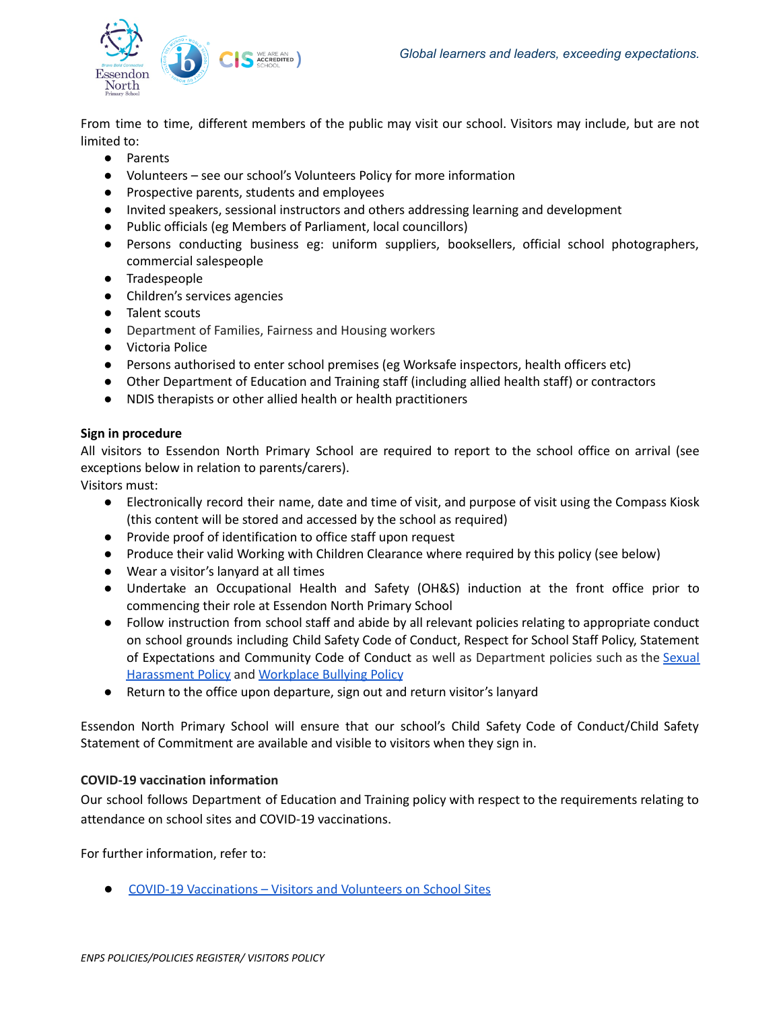

From time to time, different members of the public may visit our school. Visitors may include, but are not limited to:

- Parents
- Volunteers see our school's Volunteers Policy for more information
- Prospective parents, students and employees
- Invited speakers, sessional instructors and others addressing learning and development
- Public officials (eg Members of Parliament, local councillors)
- Persons conducting business eg: uniform suppliers, booksellers, official school photographers, commercial salespeople
- Tradespeople
- Children's services agencies
- Talent scouts
- Department of Families, Fairness and Housing workers
- Victoria Police
- Persons authorised to enter school premises (eg Worksafe inspectors, health officers etc)
- Other Department of Education and Training staff (including allied health staff) or contractors
- NDIS therapists or other allied health or health practitioners

## **Sign in procedure**

All visitors to Essendon North Primary School are required to report to the school office on arrival (see exceptions below in relation to parents/carers).

Visitors must:

- Electronically record their name, date and time of visit, and purpose of visit using the Compass Kiosk (this content will be stored and accessed by the school as required)
- Provide proof of identification to office staff upon request
- Produce their valid Working with Children Clearance where required by this policy (see below)
- Wear a visitor's lanyard at all times
- Undertake an Occupational Health and Safety (OH&S) induction at the front office prior to commencing their role at Essendon North Primary School
- Follow instruction from school staff and abide by all relevant policies relating to appropriate conduct on school grounds including Child Safety Code of Conduct, Respect for School Staff Policy, Statement of Expectations and Community Code of Conduct as well as Department policies such as the [Sexual](https://www2.education.vic.gov.au/pal/sexual-harassment/overview) [Harassment](https://www2.education.vic.gov.au/pal/sexual-harassment/overview) Policy and [Workplace](https://www2.education.vic.gov.au/pal/workplace-bullying/policy) Bullying Policy
- Return to the office upon departure, sign out and return visitor's lanyard

Essendon North Primary School will ensure that our school's Child Safety Code of Conduct/Child Safety Statement of Commitment are available and visible to visitors when they sign in.

## **COVID-19 vaccination information**

Our school follows Department of Education and Training policy with respect to the requirements relating to attendance on school sites and COVID-19 vaccinations.

For further information, refer to:

● COVID-19 [Vaccinations](https://www2.education.vic.gov.au/pal/covid-19-vaccinations-visitors-volunteers/policy) – Visitors and Volunteers on School Sites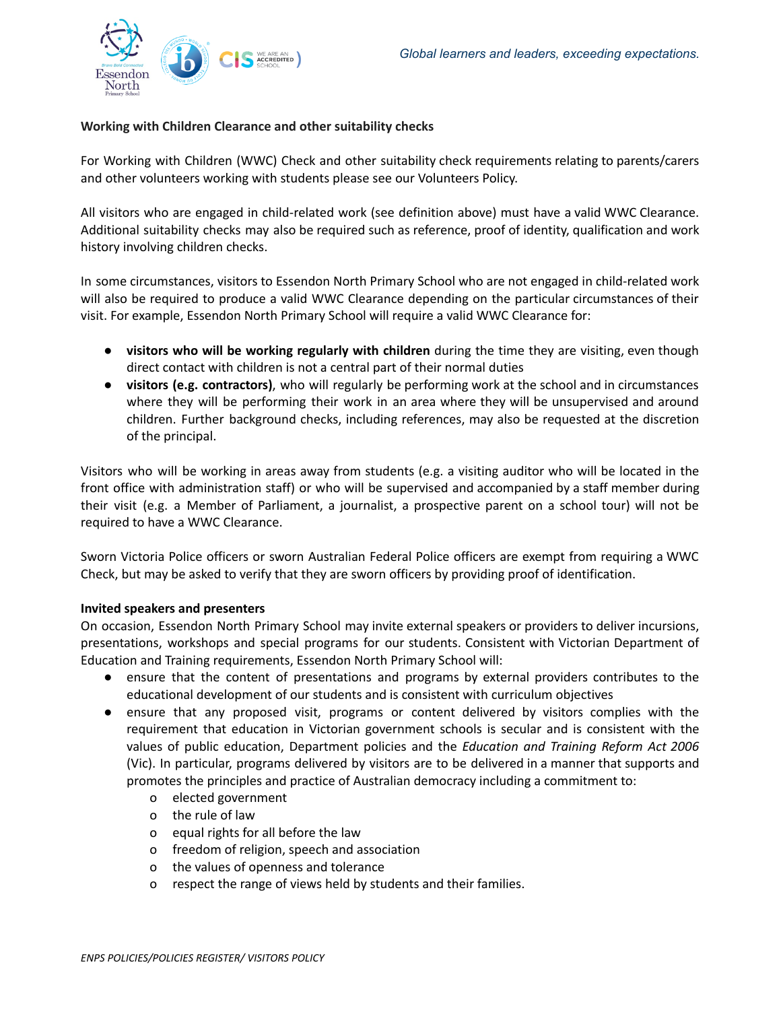

# **Working with Children Clearance and other suitability checks**

For Working with Children (WWC) Check and other suitability check requirements relating to parents/carers and other volunteers working with students please see our Volunteers Policy.

All visitors who are engaged in child-related work (see definition above) must have a valid WWC Clearance. Additional suitability checks may also be required such as reference, proof of identity, qualification and work history involving children checks.

In some circumstances, visitors to Essendon North Primary School who are not engaged in child-related work will also be required to produce a valid WWC Clearance depending on the particular circumstances of their visit. For example, Essendon North Primary School will require a valid WWC Clearance for:

- **visitors who will be working regularly with children** during the time they are visiting, even though direct contact with children is not a central part of their normal duties
- **visitors (e.g. contractors)**, who will regularly be performing work at the school and in circumstances where they will be performing their work in an area where they will be unsupervised and around children. Further background checks, including references, may also be requested at the discretion of the principal.

Visitors who will be working in areas away from students (e.g. a visiting auditor who will be located in the front office with administration staff) or who will be supervised and accompanied by a staff member during their visit (e.g. a Member of Parliament, a journalist, a prospective parent on a school tour) will not be required to have a WWC Clearance.

Sworn Victoria Police officers or sworn Australian Federal Police officers are exempt from requiring a WWC Check, but may be asked to verify that they are sworn officers by providing proof of identification.

## **Invited speakers and presenters**

On occasion, Essendon North Primary School may invite external speakers or providers to deliver incursions, presentations, workshops and special programs for our students. Consistent with Victorian Department of Education and Training requirements, Essendon North Primary School will:

- ensure that the content of presentations and programs by external providers contributes to the educational development of our students and is consistent with curriculum objectives
- ensure that any proposed visit, programs or content delivered by visitors complies with the requirement that education in Victorian government schools is secular and is consistent with the values of public education, Department policies and the *Education and Training Reform Act 2006* (Vic). In particular, programs delivered by visitors are to be delivered in a manner that supports and promotes the principles and practice of Australian democracy including a commitment to:
	- o elected government
	- o the rule of law
	- o equal rights for all before the law
	- o freedom of religion, speech and association
	- o the values of openness and tolerance
	- o respect the range of views held by students and their families.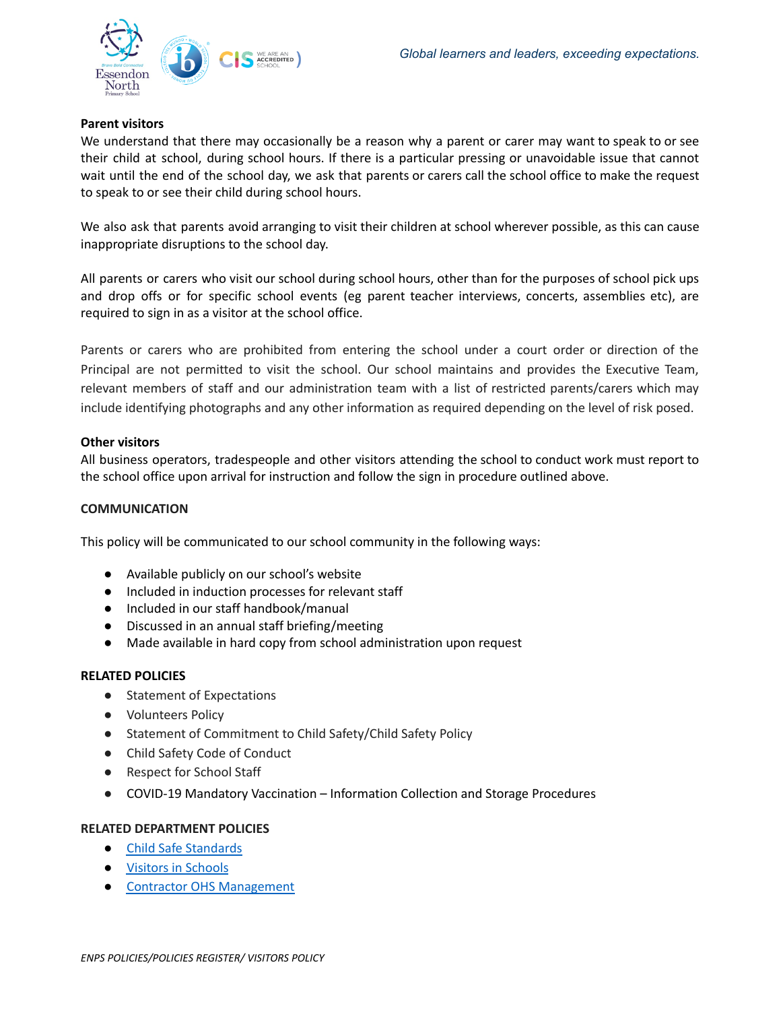

## **Parent visitors**

We understand that there may occasionally be a reason why a parent or carer may want to speak to or see their child at school, during school hours. If there is a particular pressing or unavoidable issue that cannot wait until the end of the school day, we ask that parents or carers call the school office to make the request to speak to or see their child during school hours.

We also ask that parents avoid arranging to visit their children at school wherever possible, as this can cause inappropriate disruptions to the school day.

All parents or carers who visit our school during school hours, other than for the purposes of school pick ups and drop offs or for specific school events (eg parent teacher interviews, concerts, assemblies etc), are required to sign in as a visitor at the school office.

Parents or carers who are prohibited from entering the school under a court order or direction of the Principal are not permitted to visit the school. Our school maintains and provides the Executive Team, relevant members of staff and our administration team with a list of restricted parents/carers which may include identifying photographs and any other information as required depending on the level of risk posed.

## **Other visitors**

All business operators, tradespeople and other visitors attending the school to conduct work must report to the school office upon arrival for instruction and follow the sign in procedure outlined above.

## **COMMUNICATION**

This policy will be communicated to our school community in the following ways:

- Available publicly on our school's website
- Included in induction processes for relevant staff
- Included in our staff handbook/manual
- Discussed in an annual staff briefing/meeting
- Made available in hard copy from school administration upon request

## **RELATED POLICIES**

- Statement of Expectations
- Volunteers Policy
- Statement of Commitment to Child Safety/Child Safety Policy
- Child Safety Code of Conduct
- Respect for School Staff
- COVID-19 Mandatory Vaccination Information Collection and Storage Procedures

## **RELATED DEPARTMENT POLICIES**

- Child Safe [Standards](https://www2.education.vic.gov.au/pal/child-safe-standards/policy)
- Visitors in [Schools](https://www2.education.vic.gov.au/pal/visitors/policy)
- Contractor OHS [Management](https://www2.education.vic.gov.au/pal/contractor-ohs-management/policy)